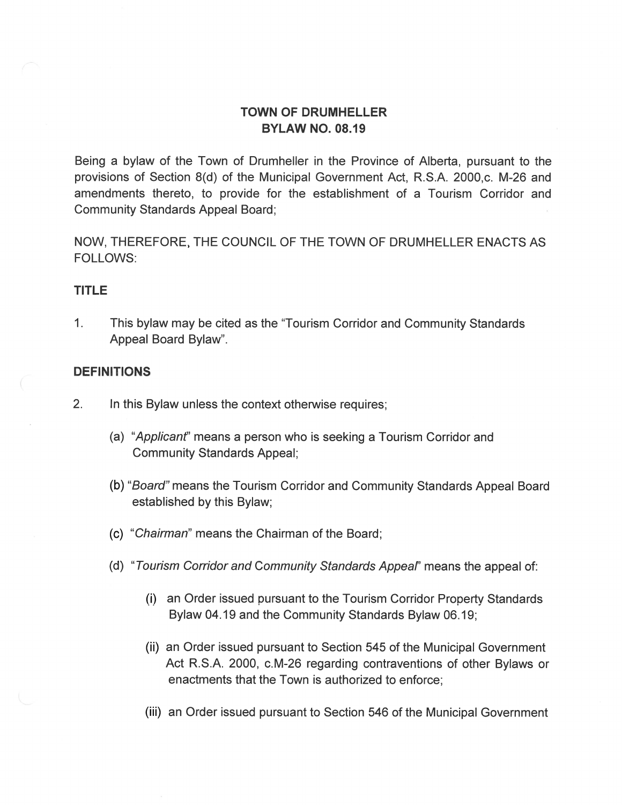# TOWN OF DRUMHELLER BYLAW NO. 08.19

Being a bylaw of the Town of Drumheller in the Province of Alberta, pursuant to the provisions of Section 8(d) of the Municipal Government Act, R.S.A. 2000,c. M-26 and amendments thereto, to provide for the establishment of a Tourism Corridor and Community Standards Appeal Board;

NOW, THEREFORE, THE COUNCIL OF THE TOWN OF DRUMHELLER ENACTS AS **FOLLOWS:** 

#### TITLE

1. This bylaw may be cited as the "Tourism Corridor and Community Standards Appeal Board Bylaw".

### DEFINITIONS

- $2.$ In this Bylaw unless the context otherwise requires;
	- (a) "Applicant" means a person who is seeking a Tourism Corridor and Community Standards Appeal;
	- (b) "Board" means the Tourism Corridor and Community Standards Appeal Board established by this Bylaw;
	- (c) "Chairman" means the Chairman of the Board;
	- (d) "Tourism Corridor and Community Standards Appeal" means the appeal of:
		- (i) an Order issued pursuant to the Tourism Corridor Property Standards Bylaw 04.19 and the Community Standards Bylaw 06.19;
		- (ii) an Order issued pursuant to Section 545 of the Municipal Government Act R.S.A. 2000, c.M-26 regarding contraventions of other Bylaws or enactments that the Town is authorized to enforce;
		- (iii) an Order issued pursuant to Section 546 of the Municipal Government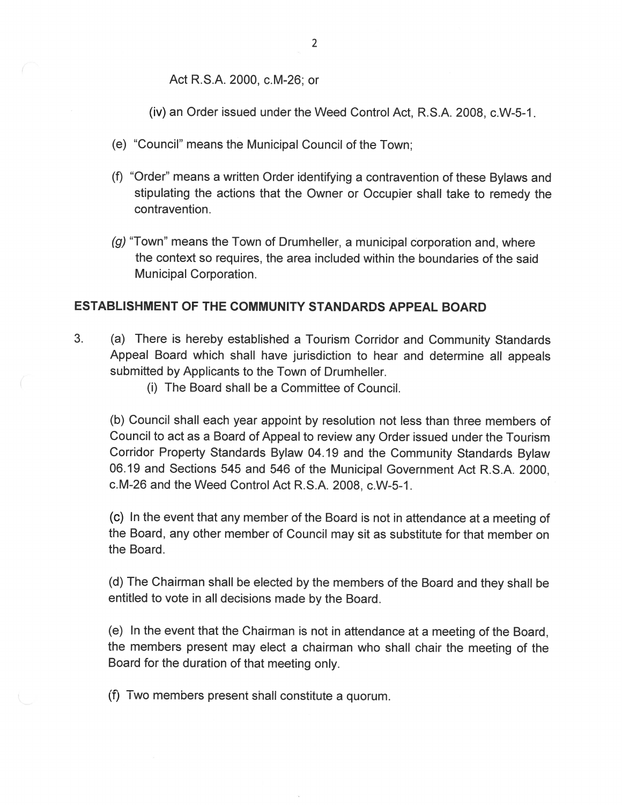Act R.S.A. 2000, c.M-26; or

(iv) an Order issued under the Weed Control Act, R.S.A. 2008, c.W-5-1.

- (e) "Council" means the Municipal Council of the Town;
- (f) "Order" means a written Order identifying a contravention of these Bylaws and stipulating the actions that the Owner or Occupier shall take to remedy the contravention.
- $(q)$  "Town" means the Town of Drumheller, a municipal corporation and, where the context so requires, the area included within the boundaries of the said Municipal Corporation.

## ESTABLISHMENT OF THE COMMUNITY STANDARDS APPEAL BOARD

- $3.$ (a) There is hereby established a Tourism Corridor and Community Standards Appeal Board which shall have jurisdiction to hear and determine all appeals submitted by Applicants to the Town of Drumheller.
	- (i) The Board shall be a Committee of Council.

(b) Council shall each year appoint by resolution not less than three members of Council to act as a Board of Appeal to review any Order issued under the Tourism Corridor Property Standards Bylaw 04.19 and the Community Standards Bylaw 06.19 and Sections 545 and 546 of the Municipal Government Act R.S.A. 2000, c.M-26 and the Weed Control Act R.S.A. 2008, c.W-5-1.

(c) In the event that any member of the Board is not in attendance at a meeting of the Board, any other member of Council may sit as substitute for that member on the Board.

(d) The Chairman shall be elected by the members of the Board and they shall be entitled to vote in all decisions made by the Board.

(e) In the event that the Chairman is not in attendance at a meeting of the Board, the members present may elect a chairman who shall chair the meeting of the Board for the duration of that meeting only.

(f) Two members present shall constitute a quorum.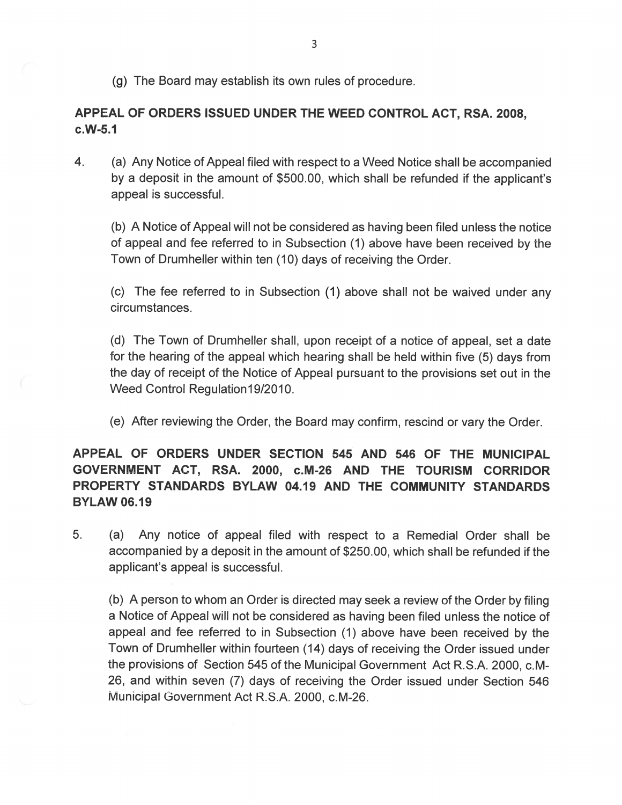(g) The Board may establish its own rules of procedure.

# APPEAL OF ORDERS ISSUED UNDER THE WEED CONTROL ACT, RSA. 2008,  $c.W-5.1$

 $4.$ (a) Any Notice of Appeal filed with respect to a Weed Notice shall be accompanied by a deposit in the amount of \$500.00, which shall be refunded if the applicant's appeal is successful.

(b) A Notice of Appeal will not be considered as having been filed unless the notice of appeal and fee referred to in Subsection (1) above have been received by the Town of Drumheller within ten (10) days of receiving the Order.

(c) The fee referred to in Subsection (1) above shall not be waived under any circumstances.

(d) The Town of Drumheller shall, upon receipt of a notice of appeal, set a date for the hearing of the appeal which hearing shall be held within five (5) days from the day of receipt of the Notice of Appeal pursuant to the provisions set out in the Weed Control Regulation 19/2010.

(e) After reviewing the Order, the Board may confirm, rescind or vary the Order.

APPEAL OF ORDERS UNDER SECTION 545 AND 546 OF THE MUNICIPAL GOVERNMENT ACT, RSA. 2000, c.M-26 AND THE TOURISM CORRIDOR PROPERTY STANDARDS BYLAW 04.19 AND THE COMMUNITY STANDARDS **BYLAW 06.19** 

5. (a) Any notice of appeal filed with respect to a Remedial Order shall be accompanied by a deposit in the amount of \$250.00, which shall be refunded if the applicant's appeal is successful.

(b) A person to whom an Order is directed may seek a review of the Order by filing a Notice of Appeal will not be considered as having been filed unless the notice of appeal and fee referred to in Subsection (1) above have been received by the Town of Drumheller within fourteen (14) days of receiving the Order issued under the provisions of Section 545 of the Municipal Government Act R.S.A. 2000, c.M-26, and within seven (7) days of receiving the Order issued under Section 546 Municipal Government Act R.S.A. 2000, c.M-26.